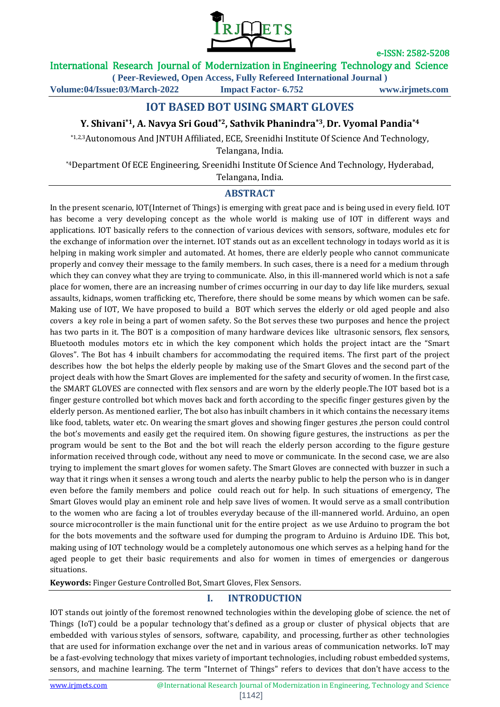

## International Research Journal of Modernization in Engineering Technology and Science

**( Peer-Reviewed, Open Access, Fully Refereed International Journal ) Volume:04/Issue:03/March-2022 Impact Factor- 6.752 www.irjmets.com**

# **IOT BASED BOT USING SMART GLOVES**

### **Y. Shivani\*1, A. Navya Sri Goud\*2, Sathvik Phanindra\*3, Dr. Vyomal Pandia\*4**

\*1,2,3Autonomous And JNTUH Affiliated, ECE, Sreenidhi Institute Of Science And Technology, Telangana, India.

\*4Department Of ECE Engineering, Sreenidhi Institute Of Science And Technology, Hyderabad,

Telangana, India.

### **ABSTRACT**

In the present scenario, IOT(Internet of Things) is emerging with great pace and is being used in every field. IOT has become a very developing concept as the whole world is making use of IOT in different ways and applications. IOT basically refers to the connection of various devices with sensors, software, modules etc for the exchange of information over the internet. IOT stands out as an excellent technology in todays world as it is helping in making work simpler and automated. At homes, there are elderly people who cannot communicate properly and convey their message to the family members. In such cases, there is a need for a medium through which they can convey what they are trying to communicate. Also, in this ill-mannered world which is not a safe place for women, there are an increasing number of crimes occurring in our day to day life like murders, sexual assaults, kidnaps, women trafficking etc, Therefore, there should be some means by which women can be safe. Making use of IOT, We have proposed to build a BOT which serves the elderly or old aged people and also covers a key role in being a part of women safety. So the Bot serves these two purposes and hence the project has two parts in it. The BOT is a composition of many hardware devices like ultrasonic sensors, flex sensors, Bluetooth modules motors etc in which the key component which holds the project intact are the "Smart Gloves". The Bot has 4 inbuilt chambers for accommodating the required items. The first part of the project describes how the bot helps the elderly people by making use of the Smart Gloves and the second part of the project deals with how the Smart Gloves are implemented for the safety and security of women. In the first case, the SMART GLOVES are connected with flex sensors and are worn by the elderly people.The IOT based bot is a finger gesture controlled bot which moves back and forth according to the specific finger gestures given by the elderly person. As mentioned earlier, The bot also has inbuilt chambers in it which contains the necessary items like food, tablets, water etc. On wearing the smart gloves and showing finger gestures ,the person could control the bot's movements and easily get the required item. On showing figure gestures, the instructions as per the program would be sent to the Bot and the bot will reach the elderly person according to the figure gesture information received through code, without any need to move or communicate. In the second case, we are also trying to implement the smart gloves for women safety. The Smart Gloves are connected with buzzer in such a way that it rings when it senses a wrong touch and alerts the nearby public to help the person who is in danger even before the family members and police could reach out for help. In such situations of emergency, The Smart Gloves would play an eminent role and help save lives of women. It would serve as a small contribution to the women who are facing a lot of troubles everyday because of the ill-mannered world. Arduino, an open source microcontroller is the main functional unit for the entire project as we use Arduino to program the bot for the bots movements and the software used for dumping the program to Arduino is Arduino IDE. This bot, making using of IOT technology would be a completely autonomous one which serves as a helping hand for the aged people to get their basic requirements and also for women in times of emergencies or dangerous situations.

**Keywords:** Finger Gesture Controlled Bot, Smart Gloves, Flex Sensors.

#### **I. INTRODUCTION**

IOT stands out jointly of the foremost renowned technologies within the developing globe of science. the net of Things (IoT) could be a popular technology that's defined as a group or cluster of physical objects that are embedded with various styles of sensors, software, capability, and processing, further as other technologies that are used for information exchange over the net and in various areas of communication networks. IoT may be a fast-evolving technology that mixes variety of important technologies, including robust embedded systems, sensors, and machine learning. The term "Internet of Things" refers to devices that don't have access to the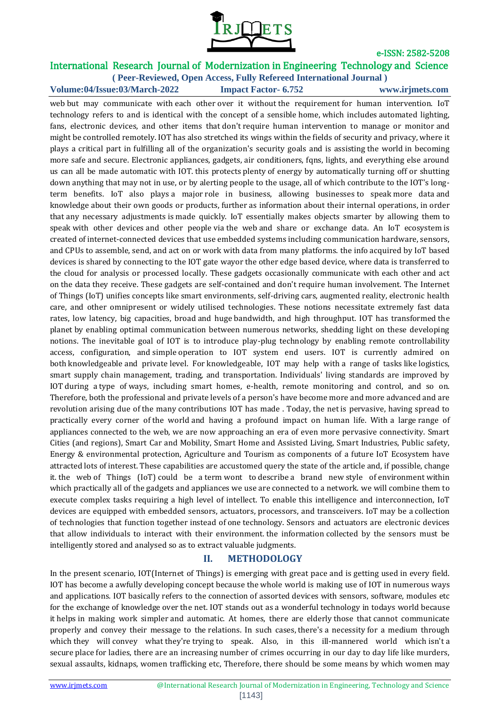

# International Research Journal of Modernization in Engineering Technology and Science

**( Peer-Reviewed, Open Access, Fully Refereed International Journal ) Volume:04/Issue:03/March-2022 Impact Factor- 6.752 www.irjmets.com**

web but may communicate with each other over it without the requirement for human intervention. IoT technology refers to and is identical with the concept of a sensible home, which includes automated lighting, fans, electronic devices, and other items that don't require human intervention to manage or monitor and might be controlled remotely. IOT has also stretched its wings within the fields of security and privacy, where it plays a critical part in fulfilling all of the organization's security goals and is assisting the world in becoming more safe and secure. Electronic appliances, gadgets, air conditioners, fqns, lights, and everything else around us can all be made automatic with IOT. this protects plenty of energy by automatically turning off or shutting down anything that may not in use, or by alerting people to the usage, all of which contribute to the IOT's longterm benefits. IoT also plays a major role in business, allowing businesses to speak more data and knowledge about their own goods or products, further as information about their internal operations, in order that any necessary adjustments is made quickly. IoT essentially makes objects smarter by allowing them to speak with other devices and other people via the web and share or exchange data. An IoT ecosystem is created of internet-connected devices that use embedded systems including communication hardware, sensors, and CPUs to assemble, send, and act on or work with data from many platforms. the info acquired by IoT based devices is shared by connecting to the IOT gate wayor the other edge based device, where data is transferred to the cloud for analysis or processed locally. These gadgets occasionally communicate with each other and act on the data they receive. These gadgets are self-contained and don't require human involvement. The Internet of Things (IoT) unifies concepts like smart environments, self-driving cars, augmented reality, electronic health care, and other omnipresent or widely utilised technologies. These notions necessitate extremely fast data rates, low latency, big capacities, broad and huge bandwidth, and high throughput. IOT has transformed the planet by enabling optimal communication between numerous networks, shedding light on these developing notions. The inevitable goal of IOT is to introduce play-plug technology by enabling remote controllability access, configuration, and simple operation to IOT system end users. IOT is currently admired on both knowledgeable and private level. For knowledgeable, IOT may help with a range of tasks like logistics, smart supply chain management, trading, and transportation. Individuals' living standards are improved by IOT during a type of ways, including smart homes, e-health, remote monitoring and control, and so on. Therefore, both the professional and private levels of a person's have become more and more advanced and are revolution arising due of the many contributions IOT has made . Today, the net is pervasive, having spread to practically every corner of the world and having a profound impact on human life. With a large range of appliances connected to the web, we are now approaching an era of even more pervasive connectivity. Smart Cities (and regions), Smart Car and Mobility, Smart Home and Assisted Living, Smart Industries, Public safety, Energy & environmental protection, Agriculture and Tourism as components of a future IoT Ecosystem have attracted lots of interest. These capabilities are accustomed query the state of the article and, if possible, change it. the web of Things (IoT) could be a term wont to describe a brand new style of environment within which practically all of the gadgets and appliances we use are connected to a network. we will combine them to execute complex tasks requiring a high level of intellect. To enable this intelligence and interconnection, IoT devices are equipped with embedded sensors, actuators, processors, and transceivers. IoT may be a collection of technologies that function together instead of one technology. Sensors and actuators are electronic devices that allow individuals to interact with their environment. the information collected by the sensors must be intelligently stored and analysed so as to extract valuable judgments.

## **II. METHODOLOGY**

In the present scenario, IOT(Internet of Things) is emerging with great pace and is getting used in every field. IOT has become a awfully developing concept because the whole world is making use of IOT in numerous ways and applications. IOT basically refers to the connection of assorted devices with sensors, software, modules etc for the exchange of knowledge over the net. IOT stands out as a wonderful technology in todays world because it helps in making work simpler and automatic. At homes, there are elderly those that cannot communicate properly and convey their message to the relations. In such cases, there's a necessity for a medium through which they will convey what they're trying to speak. Also, in this ill-mannered world which isn't a secure place for ladies, there are an increasing number of crimes occurring in our day to day life like murders, sexual assaults, kidnaps, women trafficking etc, Therefore, there should be some means by which women may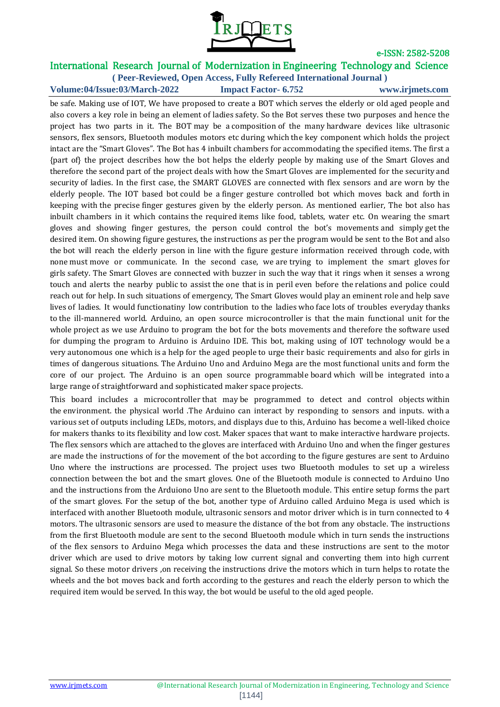

## International Research Journal of Modernization in Engineering Technology and Science

**( Peer-Reviewed, Open Access, Fully Refereed International Journal ) Volume:04/Issue:03/March-2022 Impact Factor- 6.752 www.irjmets.com**

be safe. Making use of IOT, We have proposed to create a BOT which serves the elderly or old aged people and also covers a key role in being an element of ladies safety. So the Bot serves these two purposes and hence the project has two parts in it. The BOT may be a composition of the many hardware devices like ultrasonic sensors, flex sensors, Bluetooth modules motors etc during which the key component which holds the project intact are the "Smart Gloves". The Bot has 4 inbuilt chambers for accommodating the specified items. The first a {part of} the project describes how the bot helps the elderly people by making use of the Smart Gloves and therefore the second part of the project deals with how the Smart Gloves are implemented for the security and security of ladies. In the first case, the SMART GLOVES are connected with flex sensors and are worn by the elderly people. The IOT based bot could be a finger gesture controlled bot which moves back and forth in keeping with the precise finger gestures given by the elderly person. As mentioned earlier, The bot also has inbuilt chambers in it which contains the required items like food, tablets, water etc. On wearing the smart gloves and showing finger gestures, the person could control the bot's movements and simply get the desired item. On showing figure gestures, the instructions as per the program would be sent to the Bot and also the bot will reach the elderly person in line with the figure gesture information received through code, with none must move or communicate. In the second case, we are trying to implement the smart gloves for girls safety. The Smart Gloves are connected with buzzer in such the way that it rings when it senses a wrong touch and alerts the nearby public to assist the one that is in peril even before the relations and police could reach out for help. In such situations of emergency, The Smart Gloves would play an eminent role and help save lives of ladies. It would functionatiny low contribution to the ladies who face lots of troubles everyday thanks to the ill-mannered world. Arduino, an open source microcontroller is that the main functional unit for the whole project as we use Arduino to program the bot for the bots movements and therefore the software used for dumping the program to Arduino is Arduino IDE. This bot, making using of IOT technology would be a very autonomous one which is a help for the aged people to urge their basic requirements and also for girls in times of dangerous situations. The Arduino Uno and Arduino Mega are the most functional units and form the core of our project. The Arduino is an open source programmable board which will be integrated into a large range of straightforward and sophisticated maker space projects.

This board includes a microcontroller that may be programmed to detect and control objects within the environment. the physical world .The Arduino can interact by responding to sensors and inputs. with a various set of outputs including LEDs, motors, and displays due to this, Arduino has become a well-liked choice for makers thanks to its flexibility and low cost. Maker spaces that want to make interactive hardware projects. The flex sensors which are attached to the gloves are interfaced with Arduino Uno and when the finger gestures are made the instructions of for the movement of the bot according to the figure gestures are sent to Arduino Uno where the instructions are processed. The project uses two Bluetooth modules to set up a wireless connection between the bot and the smart gloves. One of the Bluetooth module is connected to Arduino Uno and the instructions from the Arduiono Uno are sent to the Bluetooth module. This entire setup forms the part of the smart gloves. For the setup of the bot, another type of Arduino called Arduino Mega is used which is interfaced with another Bluetooth module, ultrasonic sensors and motor driver which is in turn connected to 4 motors. The ultrasonic sensors are used to measure the distance of the bot from any obstacle. The instructions from the first Bluetooth module are sent to the second Bluetooth module which in turn sends the instructions of the flex sensors to Arduino Mega which processes the data and these instructions are sent to the motor driver which are used to drive motors by taking low current signal and converting them into high current signal. So these motor drivers ,on receiving the instructions drive the motors which in turn helps to rotate the wheels and the bot moves back and forth according to the gestures and reach the elderly person to which the required item would be served. In this way, the bot would be useful to the old aged people.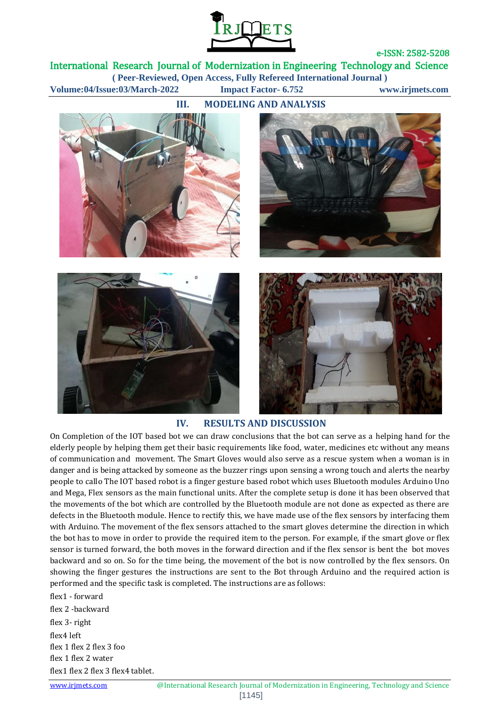

International Research Journal of Modernization in Engineering Technology and Science **( Peer-Reviewed, Open Access, Fully Refereed International Journal ) Volume:04/Issue:03/March-2022 Impact Factor- 6.752 www.irjmets.com**









#### **IV. RESULTS AND DISCUSSION**

On Completion of the IOT based bot we can draw conclusions that the bot can serve as a helping hand for the elderly people by helping them get their basic requirements like food, water, medicines etc without any means of communication and movement. The Smart Gloves would also serve as a rescue system when a woman is in danger and is being attacked by someone as the buzzer rings upon sensing a wrong touch and alerts the nearby people to callo The IOT based robot is a finger gesture based robot which uses Bluetooth modules Arduino Uno and Mega, Flex sensors as the main functional units. After the complete setup is done it has been observed that the movements of the bot which are controlled by the Bluetooth module are not done as expected as there are defects in the Bluetooth module. Hence to rectify this, we have made use of the flex sensors by interfacing them with Arduino. The movement of the flex sensors attached to the smart gloves determine the direction in which the bot has to move in order to provide the required item to the person. For example, if the smart glove or flex sensor is turned forward, the both moves in the forward direction and if the flex sensor is bent the bot moves backward and so on. So for the time being, the movement of the bot is now controlled by the flex sensors. On showing the finger gestures the instructions are sent to the Bot through Arduino and the required action is performed and the specific task is completed. The instructions are as follows:

flex1 - forward flex 2 -backward flex 3- right flex4 left flex 1 flex 2 flex 3 foo flex 1 flex 2 water flex1 flex 2 flex 3 flex4 tablet.